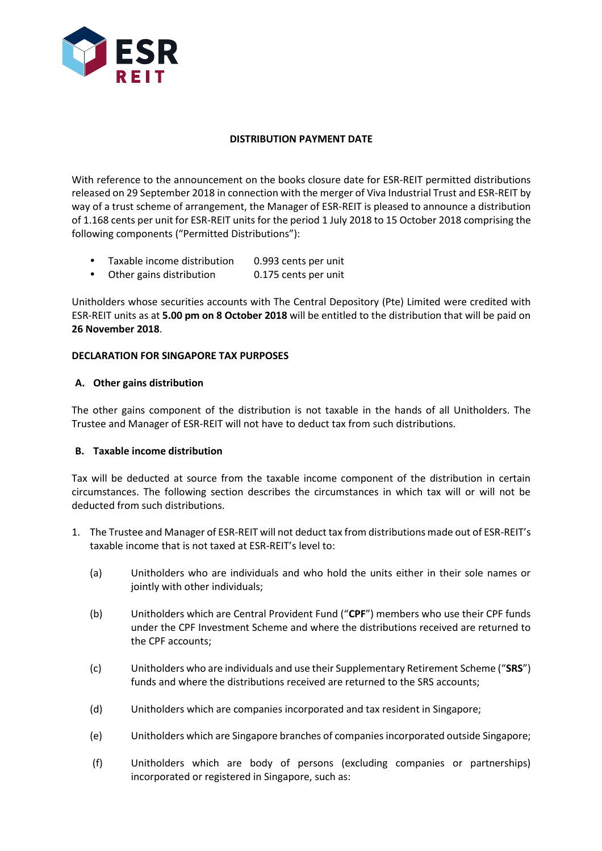

# **DISTRIBUTION PAYMENT DATE**

With reference to the announcement on the books closure date for ESR-REIT permitted distributions released on 29 September 2018 in connection with the merger of Viva Industrial Trust and ESR-REIT by way of a trust scheme of arrangement, the Manager of ESR-REIT is pleased to announce a distribution of 1.168 cents per unit for ESR-REIT units for the period 1 July 2018 to 15 October 2018 comprising the following components ("Permitted Distributions"):

- Taxable income distribution 0.993 cents per unit
- Other gains distribution 0.175 cents per unit

Unitholders whose securities accounts with The Central Depository (Pte) Limited were credited with ESR-REIT units as at **5.00 pm on 8 October 2018** will be entitled to the distribution that will be paid on **26 November 2018**.

# **DECLARATION FOR SINGAPORE TAX PURPOSES**

# **A. Other gains distribution**

The other gains component of the distribution is not taxable in the hands of all Unitholders. The Trustee and Manager of ESR-REIT will not have to deduct tax from such distributions.

# **B. Taxable income distribution**

Tax will be deducted at source from the taxable income component of the distribution in certain circumstances. The following section describes the circumstances in which tax will or will not be deducted from such distributions.

- 1. The Trustee and Manager of ESR-REIT will not deduct tax from distributions made out of ESR-REIT's taxable income that is not taxed at ESR-REIT's level to:
	- (a) Unitholders who are individuals and who hold the units either in their sole names or jointly with other individuals;
	- (b) Unitholders which are Central Provident Fund ("**CPF**") members who use their CPF funds under the CPF Investment Scheme and where the distributions received are returned to the CPF accounts;
	- (c) Unitholders who are individuals and use their Supplementary Retirement Scheme ("**SRS**") funds and where the distributions received are returned to the SRS accounts;
	- (d) Unitholders which are companies incorporated and tax resident in Singapore;
	- (e) Unitholders which are Singapore branches of companies incorporated outside Singapore;
	- (f) Unitholders which are body of persons (excluding companies or partnerships) incorporated or registered in Singapore, such as: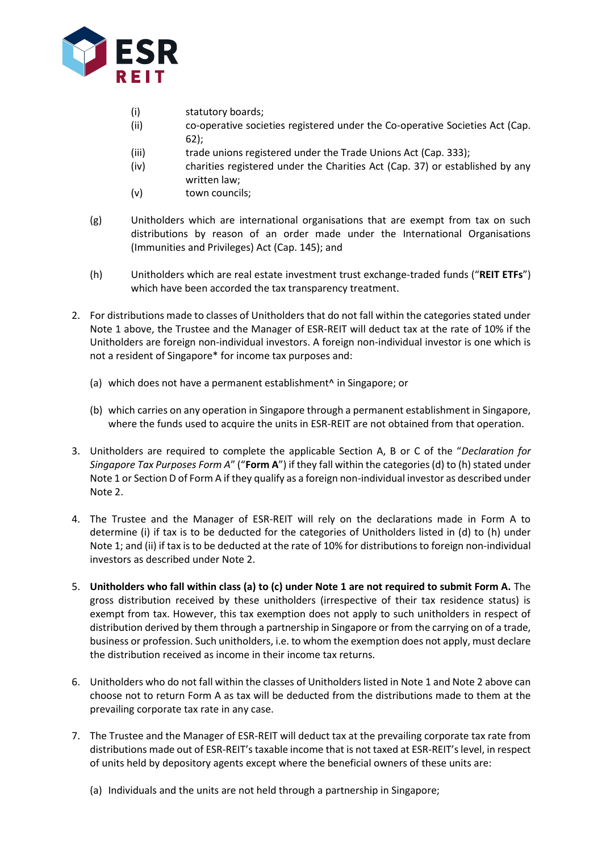

- (i) statutory boards;
- (ii) co-operative societies registered under the Co-operative Societies Act (Cap. 62);
- (iii) trade unions registered under the Trade Unions Act (Cap. 333);
- (iv) charities registered under the Charities Act (Cap. 37) or established by any written law;
- (v) town councils;
- (g) Unitholders which are international organisations that are exempt from tax on such distributions by reason of an order made under the International Organisations (Immunities and Privileges) Act (Cap. 145); and
- (h) Unitholders which are real estate investment trust exchange-traded funds ("**REIT ETFs**") which have been accorded the tax transparency treatment.
- 2. For distributions made to classes of Unitholders that do not fall within the categories stated under Note 1 above, the Trustee and the Manager of ESR-REIT will deduct tax at the rate of 10% if the Unitholders are foreign non-individual investors. A foreign non-individual investor is one which is not a resident of Singapore\* for income tax purposes and:
	- (a) which does not have a permanent establishment^ in Singapore; or
	- (b) which carries on any operation in Singapore through a permanent establishment in Singapore, where the funds used to acquire the units in ESR-REIT are not obtained from that operation.
- 3. Unitholders are required to complete the applicable Section A, B or C of the "*Declaration for Singapore Tax Purposes Form A*" ("**Form A**") if they fall within the categories (d) to (h) stated under Note 1 or Section D of Form A if they qualify as a foreign non-individual investor as described under Note 2.
- 4. The Trustee and the Manager of ESR-REIT will rely on the declarations made in Form A to determine (i) if tax is to be deducted for the categories of Unitholders listed in (d) to (h) under Note 1; and (ii) if tax is to be deducted at the rate of 10% for distributions to foreign non-individual investors as described under Note 2.
- 5. **Unitholders who fall within class (a) to (c) under Note 1 are not required to submit Form A.** The gross distribution received by these unitholders (irrespective of their tax residence status) is exempt from tax. However, this tax exemption does not apply to such unitholders in respect of distribution derived by them through a partnership in Singapore or from the carrying on of a trade, business or profession. Such unitholders, i.e. to whom the exemption does not apply, must declare the distribution received as income in their income tax returns.
- 6. Unitholders who do not fall within the classes of Unitholders listed in Note 1 and Note 2 above can choose not to return Form A as tax will be deducted from the distributions made to them at the prevailing corporate tax rate in any case.
- 7. The Trustee and the Manager of ESR-REIT will deduct tax at the prevailing corporate tax rate from distributions made out of ESR-REIT's taxable income that is not taxed at ESR-REIT's level, in respect of units held by depository agents except where the beneficial owners of these units are:
	- (a) Individuals and the units are not held through a partnership in Singapore;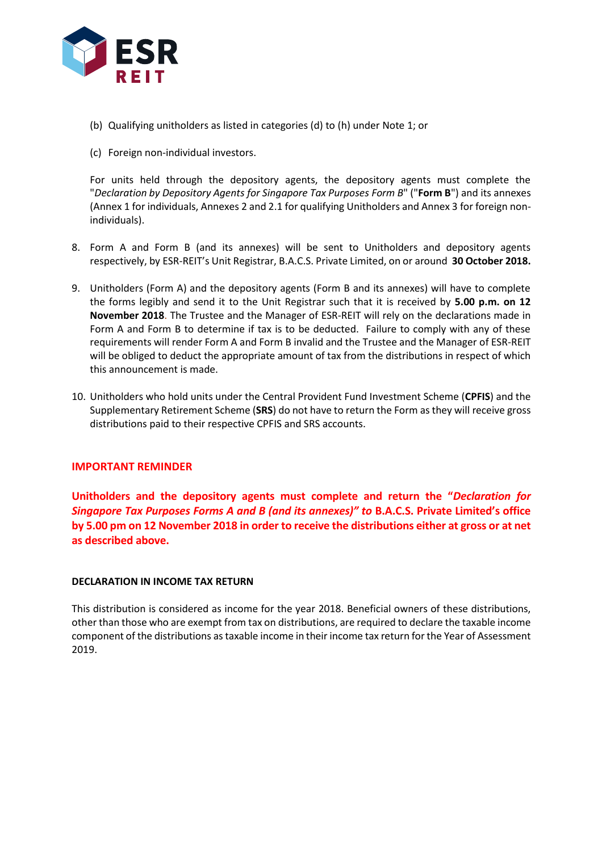

- (b) Qualifying unitholders as listed in categories (d) to (h) under Note 1; or
- (c) Foreign non-individual investors.

For units held through the depository agents, the depository agents must complete the "*Declaration by Depository Agents for Singapore Tax Purposes Form B*" ("**Form B**") and its annexes (Annex 1 for individuals, Annexes 2 and 2.1 for qualifying Unitholders and Annex 3 for foreign nonindividuals).

- 8. Form A and Form B (and its annexes) will be sent to Unitholders and depository agents respectively, by ESR-REIT's Unit Registrar, B.A.C.S. Private Limited, on or around **30 October 2018.**
- 9. Unitholders (Form A) and the depository agents (Form B and its annexes) will have to complete the forms legibly and send it to the Unit Registrar such that it is received by **5.00 p.m. on 12 November 2018**. The Trustee and the Manager of ESR-REIT will rely on the declarations made in Form A and Form B to determine if tax is to be deducted. Failure to comply with any of these requirements will render Form A and Form B invalid and the Trustee and the Manager of ESR-REIT will be obliged to deduct the appropriate amount of tax from the distributions in respect of which this announcement is made.
- 10. Unitholders who hold units under the Central Provident Fund Investment Scheme (**CPFIS**) and the Supplementary Retirement Scheme (**SRS**) do not have to return the Form as they will receive gross distributions paid to their respective CPFIS and SRS accounts.

## **IMPORTANT REMINDER**

**Unitholders and the depository agents must complete and return the "***Declaration for Singapore Tax Purposes Forms A and B (and its annexes)" to* **B.A.C.S. Private Limited's office by 5.00 pm on 12 November 2018 in order to receive the distributions either at gross or at net as described above.**

## **DECLARATION IN INCOME TAX RETURN**

This distribution is considered as income for the year 2018. Beneficial owners of these distributions, other than those who are exempt from tax on distributions, are required to declare the taxable income component of the distributions as taxable income in their income tax return for the Year of Assessment 2019.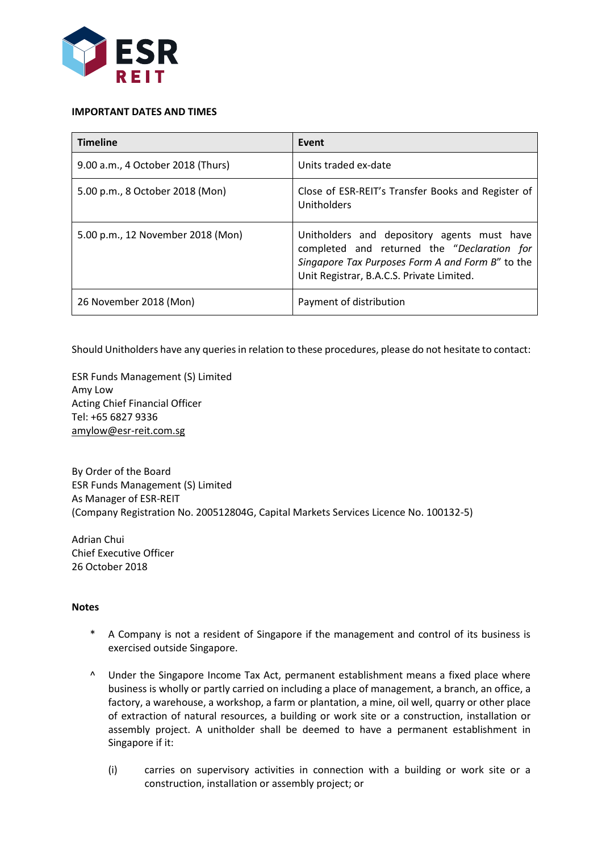

#### **IMPORTANT DATES AND TIMES**

| <b>Timeline</b>                   | Event                                                                                                                                                                                       |
|-----------------------------------|---------------------------------------------------------------------------------------------------------------------------------------------------------------------------------------------|
| 9.00 a.m., 4 October 2018 (Thurs) | Units traded ex-date                                                                                                                                                                        |
| 5.00 p.m., 8 October 2018 (Mon)   | Close of ESR-REIT's Transfer Books and Register of<br>Unitholders                                                                                                                           |
| 5.00 p.m., 12 November 2018 (Mon) | Unitholders and depository agents must have<br>completed and returned the "Declaration for<br>Singapore Tax Purposes Form A and Form B" to the<br>Unit Registrar, B.A.C.S. Private Limited. |
| 26 November 2018 (Mon)            | Payment of distribution                                                                                                                                                                     |

Should Unitholders have any queries in relation to these procedures, please do not hesitate to contact:

ESR Funds Management (S) Limited Amy Low Acting Chief Financial Officer Tel: +65 6827 9336 amylow@esr-reit.com.sg

By Order of the Board ESR Funds Management (S) Limited As Manager of ESR-REIT (Company Registration No. 200512804G, Capital Markets Services Licence No. 100132-5)

Adrian Chui Chief Executive Officer 26 October 2018

## **Notes**

- \* A Company is not a resident of Singapore if the management and control of its business is exercised outside Singapore.
- ^ Under the Singapore Income Tax Act, permanent establishment means a fixed place where business is wholly or partly carried on including a place of management, a branch, an office, a factory, a warehouse, a workshop, a farm or plantation, a mine, oil well, quarry or other place of extraction of natural resources, a building or work site or a construction, installation or assembly project. A unitholder shall be deemed to have a permanent establishment in Singapore if it:
	- (i) carries on supervisory activities in connection with a building or work site or a construction, installation or assembly project; or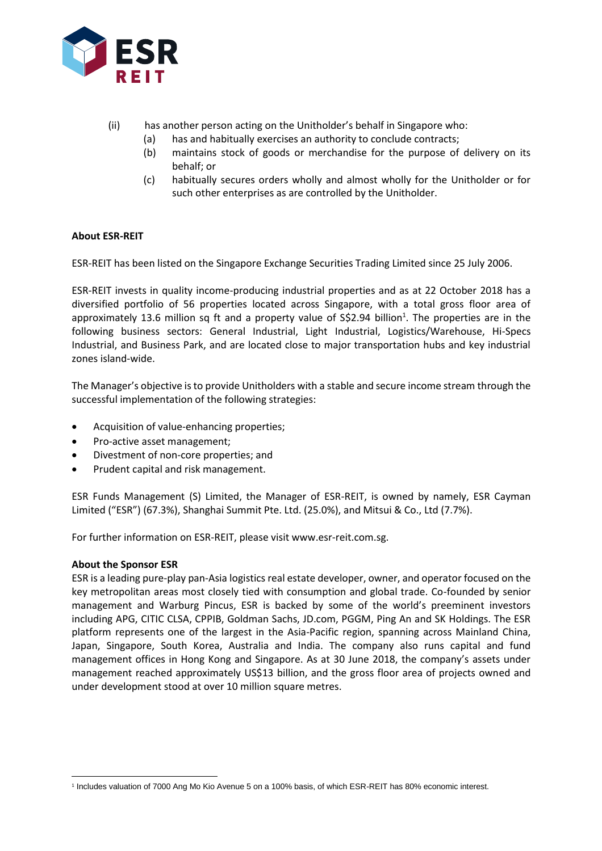

- (ii) has another person acting on the Unitholder's behalf in Singapore who:
	- (a) has and habitually exercises an authority to conclude contracts;
	- (b) maintains stock of goods or merchandise for the purpose of delivery on its behalf; or
	- (c) habitually secures orders wholly and almost wholly for the Unitholder or for such other enterprises as are controlled by the Unitholder.

# **About ESR-REIT**

ESR-REIT has been listed on the Singapore Exchange Securities Trading Limited since 25 July 2006.

ESR-REIT invests in quality income-producing industrial properties and as at 22 October 2018 has a diversified portfolio of 56 properties located across Singapore, with a total gross floor area of approximately 13.6 million sq ft and a property value of S\$2.94 billion<sup>1</sup>. The properties are in the following business sectors: General Industrial, Light Industrial, Logistics/Warehouse, Hi-Specs Industrial, and Business Park, and are located close to major transportation hubs and key industrial zones island-wide.

The Manager's objective is to provide Unitholders with a stable and secure income stream through the successful implementation of the following strategies:

- Acquisition of value-enhancing properties;
- Pro-active asset management;
- Divestment of non-core properties; and
- Prudent capital and risk management.

ESR Funds Management (S) Limited, the Manager of ESR-REIT, is owned by namely, ESR Cayman Limited ("ESR") (67.3%), Shanghai Summit Pte. Ltd. (25.0%), and Mitsui & Co., Ltd (7.7%).

For further information on ESR-REIT, please visit www.esr-reit.com.sg.

## **About the Sponsor ESR**

ESR is a leading pure-play pan-Asia logistics real estate developer, owner, and operator focused on the key metropolitan areas most closely tied with consumption and global trade. Co-founded by senior management and Warburg Pincus, ESR is backed by some of the world's preeminent investors including APG, CITIC CLSA, CPPIB, Goldman Sachs, JD.com, PGGM, Ping An and SK Holdings. The ESR platform represents one of the largest in the Asia-Pacific region, spanning across Mainland China, Japan, Singapore, South Korea, Australia and India. The company also runs capital and fund management offices in Hong Kong and Singapore. As at 30 June 2018, the company's assets under management reached approximately US\$13 billion, and the gross floor area of projects owned and under development stood at over 10 million square metres.

 $\overline{a}$ <sup>1</sup> Includes valuation of 7000 Ang Mo Kio Avenue 5 on a 100% basis, of which ESR-REIT has 80% economic interest.